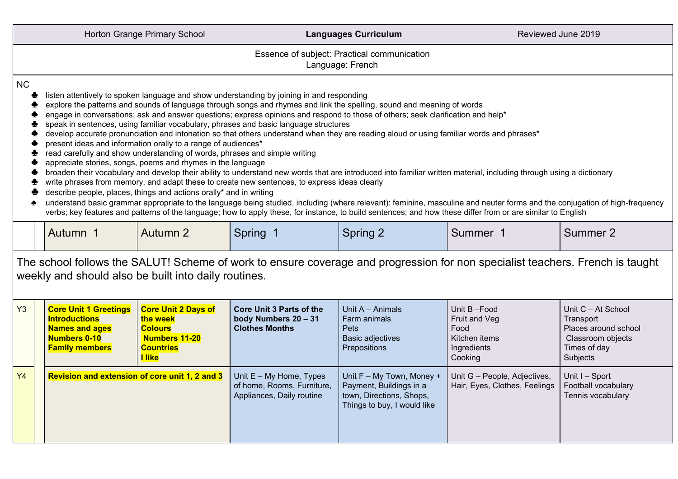|                                                                                                                                                                                       |                                                                                                                                                                                                                                                                                                                                                                                                                                                                                                                                                                                                                                                                                                                                                                                                                                                                                                                                                                                                                                                                                                                                                                                                                                                                                                                                                                                                                                                                                                     | Horton Grange Primary School                             |                                                                                  | <b>Languages Curriculum</b>              | Reviewed June 2019                   |                                                         |  |  |
|---------------------------------------------------------------------------------------------------------------------------------------------------------------------------------------|-----------------------------------------------------------------------------------------------------------------------------------------------------------------------------------------------------------------------------------------------------------------------------------------------------------------------------------------------------------------------------------------------------------------------------------------------------------------------------------------------------------------------------------------------------------------------------------------------------------------------------------------------------------------------------------------------------------------------------------------------------------------------------------------------------------------------------------------------------------------------------------------------------------------------------------------------------------------------------------------------------------------------------------------------------------------------------------------------------------------------------------------------------------------------------------------------------------------------------------------------------------------------------------------------------------------------------------------------------------------------------------------------------------------------------------------------------------------------------------------------------|----------------------------------------------------------|----------------------------------------------------------------------------------|------------------------------------------|--------------------------------------|---------------------------------------------------------|--|--|
|                                                                                                                                                                                       | Essence of subject: Practical communication<br>Language: French                                                                                                                                                                                                                                                                                                                                                                                                                                                                                                                                                                                                                                                                                                                                                                                                                                                                                                                                                                                                                                                                                                                                                                                                                                                                                                                                                                                                                                     |                                                          |                                                                                  |                                          |                                      |                                                         |  |  |
| <b>NC</b>                                                                                                                                                                             | listen attentively to spoken language and show understanding by joining in and responding<br>explore the patterns and sounds of language through songs and rhymes and link the spelling, sound and meaning of words<br>engage in conversations; ask and answer questions; express opinions and respond to those of others; seek clarification and help*<br>speak in sentences, using familiar vocabulary, phrases and basic language structures<br>develop accurate pronunciation and intonation so that others understand when they are reading aloud or using familiar words and phrases*<br>present ideas and information orally to a range of audiences*<br>read carefully and show understanding of words, phrases and simple writing<br>appreciate stories, songs, poems and rhymes in the language<br>broaden their vocabulary and develop their ability to understand new words that are introduced into familiar written material, including through using a dictionary<br>write phrases from memory, and adapt these to create new sentences, to express ideas clearly<br>describe people, places, things and actions orally* and in writing<br>understand basic grammar appropriate to the language being studied, including (where relevant): feminine, masculine and neuter forms and the conjugation of high-frequency<br>verbs; key features and patterns of the language; how to apply these, for instance, to build sentences; and how these differ from or are similar to English |                                                          |                                                                                  |                                          |                                      |                                                         |  |  |
|                                                                                                                                                                                       | Autumn 1                                                                                                                                                                                                                                                                                                                                                                                                                                                                                                                                                                                                                                                                                                                                                                                                                                                                                                                                                                                                                                                                                                                                                                                                                                                                                                                                                                                                                                                                                            | Autumn 2                                                 | Spring 1                                                                         | Spring 2                                 | Summer 1                             | Summer 2                                                |  |  |
| The school follows the SALUT! Scheme of work to ensure coverage and progression for non specialist teachers. French is taught<br>weekly and should also be built into daily routines. |                                                                                                                                                                                                                                                                                                                                                                                                                                                                                                                                                                                                                                                                                                                                                                                                                                                                                                                                                                                                                                                                                                                                                                                                                                                                                                                                                                                                                                                                                                     |                                                          |                                                                                  |                                          |                                      |                                                         |  |  |
| Y3                                                                                                                                                                                    | <b>Core Unit 1 Greetings</b><br><b>Introductions</b><br><b>Names and ages</b>                                                                                                                                                                                                                                                                                                                                                                                                                                                                                                                                                                                                                                                                                                                                                                                                                                                                                                                                                                                                                                                                                                                                                                                                                                                                                                                                                                                                                       | <b>Core Unit 2 Days of</b><br>the week<br><b>Colours</b> | <b>Core Unit 3 Parts of the</b><br>body Numbers 20 - 31<br><b>Clothes Months</b> | Unit A - Animals<br>Farm animals<br>Pets | Unit B-Food<br>Fruit and Veg<br>Food | Unit C - At School<br>Transport<br>Places around school |  |  |

|           | <b>Introductions</b><br><b>Names and ages</b><br><b>Numbers 0-10</b><br><b>Family members</b> | the week<br><b>Colours</b><br><b>Numbers 11-20</b><br><b>Countries</b><br><u>l like</u> | body Numbers 20 – 31<br><b>Clothes Months</b>                                        | Farm animals<br><b>Pets</b><br><b>Basic adjectives</b><br>Prepositions                                          | Fruit and Veg<br>Food<br>Kitchen items<br>Ingredients<br>Cooking | Transport<br>Places around school<br>Classroom objects<br>Times of day<br>Subjects |
|-----------|-----------------------------------------------------------------------------------------------|-----------------------------------------------------------------------------------------|--------------------------------------------------------------------------------------|-----------------------------------------------------------------------------------------------------------------|------------------------------------------------------------------|------------------------------------------------------------------------------------|
| <b>Y4</b> | <b>Revision and extension of core unit 1, 2 and 3</b>                                         |                                                                                         | Unit $E - My$ Home, Types<br>of home, Rooms, Furniture,<br>Appliances, Daily routine | Unit F - My Town, Money +<br>Payment, Buildings in a<br>town, Directions, Shops,<br>Things to buy, I would like | Unit G - People, Adjectives,<br>Hair, Eyes, Clothes, Feelings    | Unit I - Sport<br>Football vocabulary<br>Tennis vocabulary                         |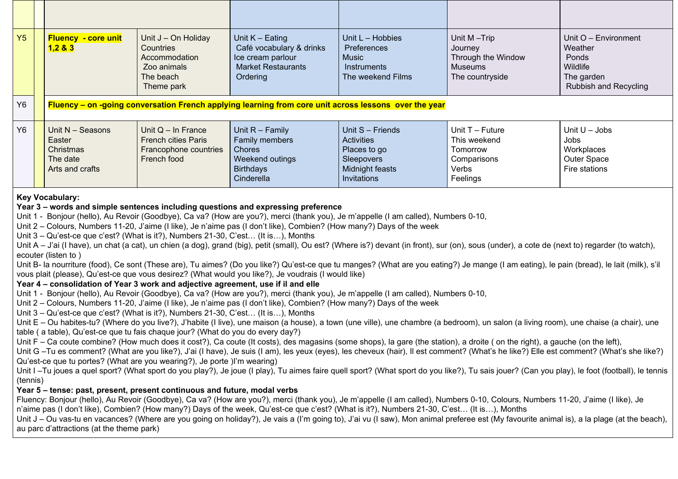| Y5                                                                                                                                                                                                                                                                                                                                                                                                                                                                                                                                                                                                                                                                                                                                                                                                                                                                                                                                                                                                                                                                                                                                                                                                                                                                                                                                                                                                                                                                                                                                                                                                                                                                                                                                                                                                                                                                                                                                                                                                                                                                                                                                                                                                                                                                                                                                                                                                                                                                                                                                                                                                                                                                                                                                                                                                                                                                                                                                                                                                                                              |  | <b>Fluency - core unit</b><br>1,283                                                                   | Unit J - On Holiday<br>Countries<br>Accommodation<br>Zoo animals<br>The beach<br>Theme park | Unit $K -$ Eating<br>Café vocabulary & drinks<br>Ice cream parlour<br><b>Market Restaurants</b><br>Ordering | Unit L - Hobbies<br>Preferences<br><b>Music</b><br>Instruments<br>The weekend Films            | Unit M-Trip<br>Journey<br>Through the Window<br><b>Museums</b><br>The countryside | Unit O - Environment<br>Weather<br>Ponds<br>Wildlife<br>The garden<br><b>Rubbish and Recycling</b> |
|-------------------------------------------------------------------------------------------------------------------------------------------------------------------------------------------------------------------------------------------------------------------------------------------------------------------------------------------------------------------------------------------------------------------------------------------------------------------------------------------------------------------------------------------------------------------------------------------------------------------------------------------------------------------------------------------------------------------------------------------------------------------------------------------------------------------------------------------------------------------------------------------------------------------------------------------------------------------------------------------------------------------------------------------------------------------------------------------------------------------------------------------------------------------------------------------------------------------------------------------------------------------------------------------------------------------------------------------------------------------------------------------------------------------------------------------------------------------------------------------------------------------------------------------------------------------------------------------------------------------------------------------------------------------------------------------------------------------------------------------------------------------------------------------------------------------------------------------------------------------------------------------------------------------------------------------------------------------------------------------------------------------------------------------------------------------------------------------------------------------------------------------------------------------------------------------------------------------------------------------------------------------------------------------------------------------------------------------------------------------------------------------------------------------------------------------------------------------------------------------------------------------------------------------------------------------------------------------------------------------------------------------------------------------------------------------------------------------------------------------------------------------------------------------------------------------------------------------------------------------------------------------------------------------------------------------------------------------------------------------------------------------------------------------------|--|-------------------------------------------------------------------------------------------------------|---------------------------------------------------------------------------------------------|-------------------------------------------------------------------------------------------------------------|------------------------------------------------------------------------------------------------|-----------------------------------------------------------------------------------|----------------------------------------------------------------------------------------------------|
| Y6                                                                                                                                                                                                                                                                                                                                                                                                                                                                                                                                                                                                                                                                                                                                                                                                                                                                                                                                                                                                                                                                                                                                                                                                                                                                                                                                                                                                                                                                                                                                                                                                                                                                                                                                                                                                                                                                                                                                                                                                                                                                                                                                                                                                                                                                                                                                                                                                                                                                                                                                                                                                                                                                                                                                                                                                                                                                                                                                                                                                                                              |  | Fluency – on -going conversation French applying learning from core unit across lessons over the year |                                                                                             |                                                                                                             |                                                                                                |                                                                                   |                                                                                                    |
| Y6                                                                                                                                                                                                                                                                                                                                                                                                                                                                                                                                                                                                                                                                                                                                                                                                                                                                                                                                                                                                                                                                                                                                                                                                                                                                                                                                                                                                                                                                                                                                                                                                                                                                                                                                                                                                                                                                                                                                                                                                                                                                                                                                                                                                                                                                                                                                                                                                                                                                                                                                                                                                                                                                                                                                                                                                                                                                                                                                                                                                                                              |  | Unit N - Seasons<br>Easter<br>Christmas<br>The date<br>Arts and crafts                                | Unit $Q - In$ France<br><b>French cities Paris</b><br>Francophone countries<br>French food  | Unit $R -$ Family<br>Family members<br><b>Chores</b><br>Weekend outings<br><b>Birthdays</b><br>Cinderella   | Unit S - Friends<br>Activities<br>Places to go<br>Sleepovers<br>Midnight feasts<br>Invitations | Unit T - Future<br>This weekend<br>Tomorrow<br>Comparisons<br>Verbs<br>Feelings   | Unit $U -$ Jobs<br>Jobs<br>Workplaces<br>Outer Space<br>Fire stations                              |
| <b>Key Vocabulary:</b><br>Year 3 – words and simple sentences including questions and expressing preference<br>Unit 1 - Bonjour (hello), Au Revoir (Goodbye), Ca va? (How are you?), merci (thank you), Je m'appelle (I am called), Numbers 0-10,<br>Unit 2 – Colours, Numbers 11-20, J'aime (I like), Je n'aime pas (I don't like), Combien? (How many?) Days of the week<br>Unit 3 – Qu'est-ce que c'est? (What is it?), Numbers 21-30, C'est (It is), Months<br>Unit A – J'ai (I have), un chat (a cat), un chien (a dog), grand (big), petit (small), Ou est? (Where is?) devant (in front), sur (on), sous (under), a cote de (next to) regarder (to watch),<br>ecouter (listen to)<br>Unit B- la nourriture (food), Ce sont (These are), Tu aimes? (Do you like?) Qu'est-ce que tu manges? (What are you eating?) Je mange (I am eating), le pain (bread), le lait (milk), s'il<br>vous plait (please), Qu'est-ce que vous desirez? (What would you like?), Je voudrais (I would like)<br>Year 4 - consolidation of Year 3 work and adjective agreement, use if il and elle<br>Unit 1 - Bonjour (hello), Au Revoir (Goodbye), Ca va? (How are you?), merci (thank you), Je m'appelle (I am called), Numbers 0-10,<br>Unit 2 – Colours, Numbers 11-20, J'aime (I like), Je n'aime pas (I don't like), Combien? (How many?) Days of the week<br>Unit 3 – Qu'est-ce que c'est? (What is it?), Numbers 21-30, C'est (It is), Months<br>Unit E - Ou habites-tu? (Where do you live?), J'habite (I live), une maison (a house), a town (une ville), une chambre (a bedroom), un salon (a living room), une chaise (a chair), une<br>table (a table), Qu'est-ce que tu fais chaque jour? (What do you do every day?)<br>Unit F – Ca coute combine? (How much does it cost?), Ca coute (It costs), des magasins (some shops), la gare (the station), a droite (on the right), a gauche (on the left),<br>Unit G-Tu es comment? (What are you like?), J'ai (I have), Je suis (I am), les yeux (eyes), les cheveux (hair), Il est comment? (What's he like?) Elle est comment? (What's she like?)<br>Qu'est-ce que tu portes? (What are you wearing?), Je porte )I'm wearing)<br>Unit I-Tu joues a quel sport? (What sport do you play?), Je joue (I play), Tu aimes faire quell sport? (What sport do you like?), Tu sais jouer? (Can you play), le foot (football), le tennis<br>(tennis)<br>Year 5 - tense: past, present, present continuous and future, modal verbs<br>Fluency: Bonjour (hello), Au Revoir (Goodbye), Ca va? (How are you?), merci (thank you), Je m'appelle (I am called), Numbers 0-10, Colours, Numbers 11-20, J'aime (I like), Je<br>n'aime pas (I don't like), Combien? (How many?) Days of the week, Qu'est-ce que c'est? (What is it?), Numbers 21-30, C'est (It is), Months<br>Unit J – Ou vas-tu en vacances? (Where are you going on holiday?), Je vais a (I'm going to), J'ai vu (I saw), Mon animal preferee est (My favourite animal is), a la plage (at the beach),<br>au parc d'attractions (at the theme park) |  |                                                                                                       |                                                                                             |                                                                                                             |                                                                                                |                                                                                   |                                                                                                    |